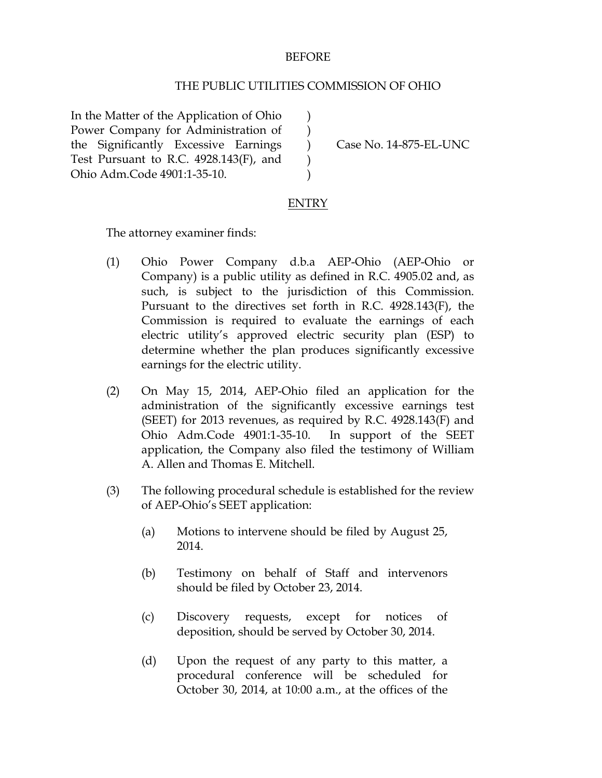## BEFORE

## THE PUBLIC UTILITIES COMMISSION OF OHIO

) ) ) ) )

In the Matter of the Application of Ohio Power Company for Administration of the Significantly Excessive Earnings Test Pursuant to R.C. 4928.143(F), and Ohio Adm.Code 4901:1-35-10.

Case No. 14-875-EL-UNC

## **ENTRY**

The attorney examiner finds:

- (1) Ohio Power Company d.b.a AEP-Ohio (AEP-Ohio or Company) is a public utility as defined in R.C. 4905.02 and, as such, is subject to the jurisdiction of this Commission. Pursuant to the directives set forth in R.C. 4928.143(F), the Commission is required to evaluate the earnings of each electric utility's approved electric security plan (ESP) to determine whether the plan produces significantly excessive earnings for the electric utility.
- (2) On May 15, 2014, AEP-Ohio filed an application for the administration of the significantly excessive earnings test (SEET) for 2013 revenues, as required by R.C. 4928.143(F) and Ohio Adm.Code 4901:1-35-10. In support of the SEET application, the Company also filed the testimony of William A. Allen and Thomas E. Mitchell.
- (3) The following procedural schedule is established for the review of AEP-Ohio's SEET application:
	- (a) Motions to intervene should be filed by August 25, 2014.
	- (b) Testimony on behalf of Staff and intervenors should be filed by October 23, 2014.
	- (c) Discovery requests, except for notices of deposition, should be served by October 30, 2014.
	- (d) Upon the request of any party to this matter, a procedural conference will be scheduled for October 30, 2014, at 10:00 a.m., at the offices of the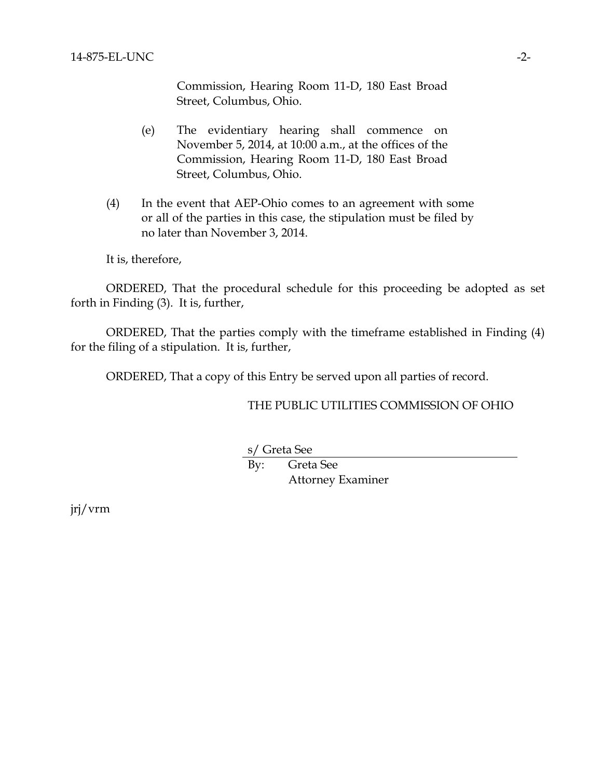Commission, Hearing Room 11-D, 180 East Broad Street, Columbus, Ohio.

- (e) The evidentiary hearing shall commence on November 5, 2014, at 10:00 a.m., at the offices of the Commission, Hearing Room 11-D, 180 East Broad Street, Columbus, Ohio.
- (4) In the event that AEP-Ohio comes to an agreement with some or all of the parties in this case, the stipulation must be filed by no later than November 3, 2014.

It is, therefore,

ORDERED, That the procedural schedule for this proceeding be adopted as set forth in Finding (3). It is, further,

ORDERED, That the parties comply with the timeframe established in Finding (4) for the filing of a stipulation. It is, further,

ORDERED, That a copy of this Entry be served upon all parties of record.

THE PUBLIC UTILITIES COMMISSION OF OHIO

s/ Greta See

By: Greta See Attorney Examiner

jrj/vrm